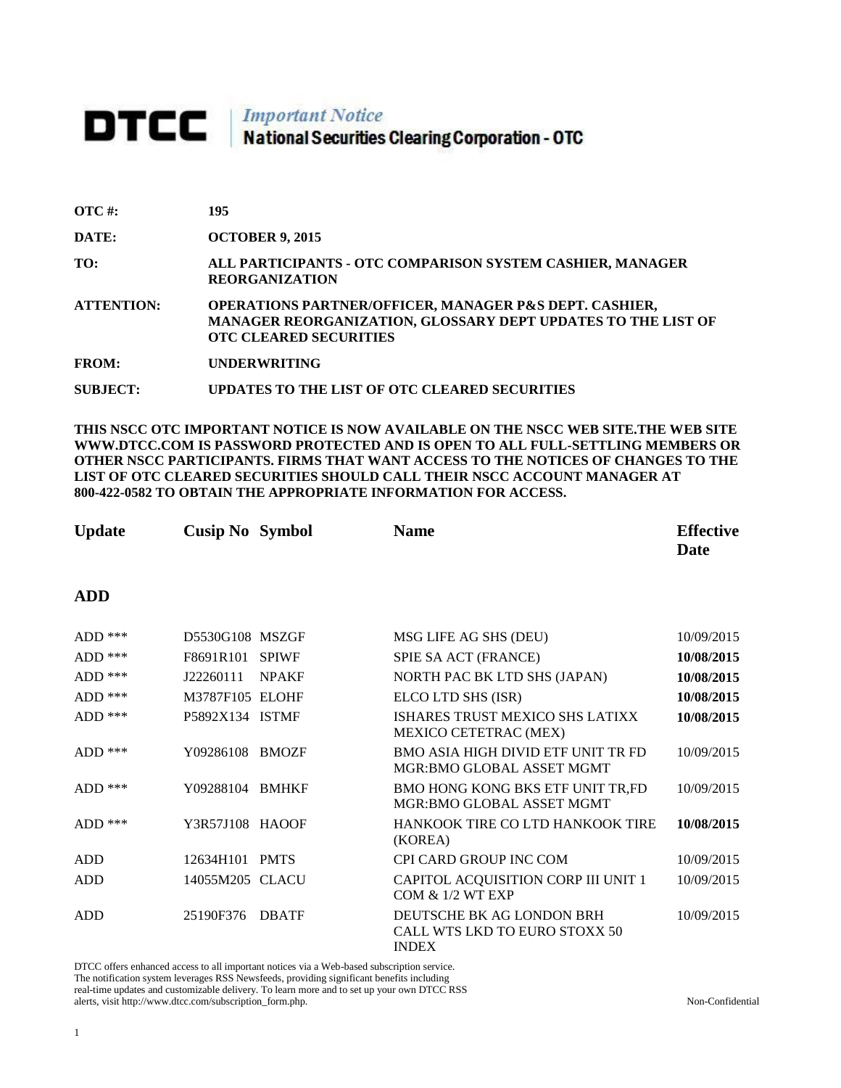# **DTCC** National Securities Clearing Corporation - OTC

| $\overline{OTC}$ #: | 195                                                                                                                                                                |
|---------------------|--------------------------------------------------------------------------------------------------------------------------------------------------------------------|
| DATE:               | <b>OCTOBER 9, 2015</b>                                                                                                                                             |
| TO:                 | ALL PARTICIPANTS - OTC COMPARISON SYSTEM CASHIER, MANAGER<br><b>REORGANIZATION</b>                                                                                 |
| <b>ATTENTION:</b>   | <b>OPERATIONS PARTNER/OFFICER, MANAGER P&amp;S DEPT. CASHIER,</b><br>MANAGER REORGANIZATION, GLOSSARY DEPT UPDATES TO THE LIST OF<br><b>OTC CLEARED SECURITIES</b> |
| <b>FROM:</b>        | <b>UNDERWRITING</b>                                                                                                                                                |
| <b>SUBJECT:</b>     | UPDATES TO THE LIST OF OTC CLEARED SECURITIES                                                                                                                      |

**THIS NSCC OTC IMPORTANT NOTICE IS NOW AVAILABLE ON THE NSCC WEB SITE.THE WEB SITE WWW.DTCC.COM IS PASSWORD PROTECTED AND IS OPEN TO ALL FULL-SETTLING MEMBERS OR OTHER NSCC PARTICIPANTS. FIRMS THAT WANT ACCESS TO THE NOTICES OF CHANGES TO THE LIST OF OTC CLEARED SECURITIES SHOULD CALL THEIR NSCC ACCOUNT MANAGER AT 800-422-0582 TO OBTAIN THE APPROPRIATE INFORMATION FOR ACCESS.** 

| <b>Update</b> | <b>Cusip No Symbol</b> |              | <b>Name</b>                                                            | <b>Effective</b><br>Date |
|---------------|------------------------|--------------|------------------------------------------------------------------------|--------------------------|
| <b>ADD</b>    |                        |              |                                                                        |                          |
| $ADD$ ***     | D5530G108 MSZGF        |              | MSG LIFE AG SHS (DEU)                                                  | 10/09/2015               |
| $ADD$ ***     | F8691R101              | <b>SPIWF</b> | SPIE SA ACT (FRANCE)                                                   | 10/08/2015               |
| $ADD$ ***     | J22260111              | <b>NPAKF</b> | NORTH PAC BK LTD SHS (JAPAN)                                           | 10/08/2015               |
| $ADD$ ***     | M3787F105 ELOHF        |              | ELCO LTD SHS (ISR)                                                     | 10/08/2015               |
| $ADD$ ***     | P5892X134 ISTMF        |              | ISHARES TRUST MEXICO SHS LATIXX<br>MEXICO CETETRAC (MEX)               | 10/08/2015               |
| $ADD$ ***     | Y09286108              | <b>BMOZF</b> | <b>BMO ASIA HIGH DIVID ETF UNIT TR FD</b><br>MGR:BMO GLOBAL ASSET MGMT | 10/09/2015               |
| $ADD$ ***     | Y09288104              | <b>BMHKF</b> | BMO HONG KONG BKS ETF UNIT TR,FD<br>MGR:BMO GLOBAL ASSET MGMT          | 10/09/2015               |
| $ADD$ ***     | Y3R57J108 HAOOF        |              | HANKOOK TIRE CO LTD HANKOOK TIRE<br>(KOREA)                            | 10/08/2015               |
| <b>ADD</b>    | 12634H101              | <b>PMTS</b>  | CPI CARD GROUP INC COM                                                 | 10/09/2015               |
| <b>ADD</b>    | 14055M205 CLACU        |              | CAPITOL ACQUISITION CORP III UNIT 1<br><b>COM &amp; 1/2 WT EXP</b>     | 10/09/2015               |
| <b>ADD</b>    | 25190F376              | <b>DBATF</b> | DEUTSCHE BK AG LONDON BRH<br>CALL WTS LKD TO EURO STOXX 50             | 10/09/2015               |

INDEX

DTCC offers enhanced access to all important notices via a Web-based subscription service. The notification system leverages RSS Newsfeeds, providing significant benefits including real-time updates and customizable delivery. To learn more and to set up your own DTCC RSS alerts, visit http://www.dtcc.com/subscription\_form.php. Non-Confidential